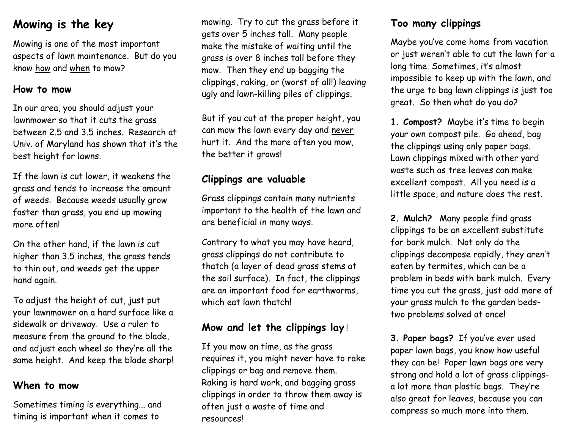# **Mowing is the key**

Mowing is one of the most important aspects of lawn maintenance. But do you know how and when to mow?

#### **How to mow**

In our area, you should adjust your lawnmower so that it cuts the grass between 2.5 and 3.5 inches. Research at Univ. of Maryland has shown that it's the best height for lawns.

If the lawn is cut lower, it weakens the grass and tends to increase the amount of weeds. Because weeds usually grow faster than grass, you end up mowing more often!

On the other hand, if the lawn is cut higher than 3.5 inches, the grass tends to thin out, and weeds get the upper hand again.

To adjust the height of cut, just put your lawnmower on a hard surface like a sidewalk or driveway. Use a ruler to measure from the ground to the blade, and adjust each wheel so they're all the same height. And keep the blade sharp!

#### **When to mow**

Sometimes timing is everything... and timing is important when it comes to

mowing. Try to cut the grass before it gets over 5 inches tall. Many people make the mistake of waiting until the grass is over 8 inches tall before they mow. Then they end up bagging the clippings, raking, or (worst of all!) leaving ugly and lawn-killing piles of clippings.

But if you cut at the proper height, you can mow the lawn every day and never hurt it. And the more often you mow, the better it grows!

## **Clippings are valuable**

Grass clippings contain many nutrients important to the health of the lawn and are beneficial in many ways.

Contrary to what you may have heard, grass clippings do not contribute to thatch (a layer of dead grass stems at the soil surface). In fact, the clippings are an important food for earthworms, which eat lawn thatch!

## **Mow and let the clippings lay** !

If you mow on time, as the grass requires it, you might never have to rake clippings or bag and remove them. Raking is hard work, and bagging grass clippings in order to throw them away is often just a waste of time and resources!

## **Too many clippings**

Maybe you've come home from vacation or just weren't able to cut the lawn for a long time. Sometimes, it's almost impossible to keep up with the lawn, and the urge to bag lawn clippings is just too great. So then what do you do?

**1. Compost?** Maybe it's time to begin your own compost pile. Go ahead, bag the clippings using only paper bags. Lawn clippings mixed with other yard waste such as tree leaves can make excellent compost. All you need is a little space, and nature does the rest.

**2. Mulch?** Many people find grass clippings to be an excellent substitute for bark mulch. Not only do the clippings decompose rapidly, they aren't eaten by termites, which can be a problem in beds with bark mulch. Every time you cut the grass, just add more of your grass mulch to the garden bedstwo problems solved at once!

**3. Paper bags?** If you've ever used paper lawn bags, you know how useful they can be! Paper lawn bags are very strong and hold a lot of grass clippingsa lot more than plastic bags. They're also great for leaves, because you can compress so much more into them.